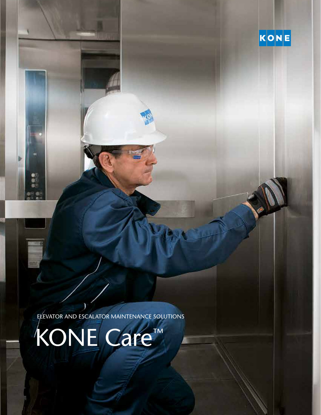

# KONE Care™

Q7

ELEVATOR AND ESCALATOR MAINTENANCE SOLUTIONS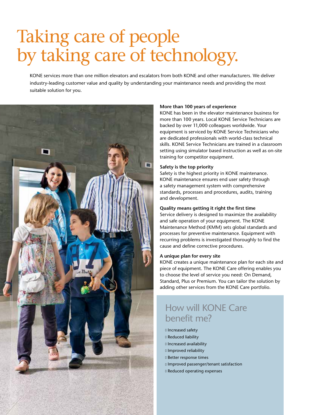## Taking care of people by taking care of technology.

KONE services more than one million elevators and escalators from both KONE and other manufacturers. We deliver industry-leading customer value and quality by understanding your maintenance needs and providing the most suitable solution for you.



#### **More than 100 years of experience**

KONE has been in the elevator maintenance business for more than 100 years. Local KONE Service Technicians are backed by over 11,000 colleagues worldwide. Your equipment is serviced by KONE Service Technicians who are dedicated professionals with world-class technical skills. KONE Service Technicians are trained in a classroom setting using simulator based instruction as well as on-site training for competitor equipment.

#### **Safety is the top priority**

Safety is the highest priority in KONE maintenance. KONE maintenance ensures end user safety through a safety management system with comprehensive standards, processes and procedures, audits, training and development.

#### **Quality means getting it right the first time**

Service delivery is designed to maximize the availability and safe operation of your equipment. The KONE Maintenance Method (KMM) sets global standards and processes for preventive maintenance. Equipment with recurring problems is investigated thoroughly to find the cause and define corrective procedures.

#### **A unique plan for every site**

KONE creates a unique maintenance plan for each site and piece of equipment. The KONE Care offering enables you to choose the level of service you need: On Demand, Standard, Plus or Premium. You can tailor the solution by adding other services from the KONE Care portfolio.

### How will KONE Care benefit me?

- <sup>n</sup> Increased safety
- <sup>n</sup> Reduced liability
- <sup>n</sup> Increased availability
- <sup>n</sup> Improved reliability
- <sup>n</sup> Better response times
- <sup>n</sup> Improved passenger/tenant satisfaction
- <sup>n</sup> Reduced operating expenses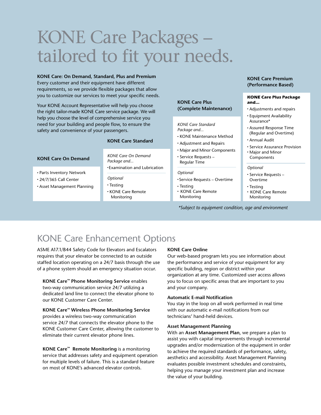### KONE Care Packages – tailored to fit your needs.

**KONE Care: On Demand, Standard, Plus and Premium** Every customer and their equipment have different requirements, so we provide flexible packages that allow you to customize our services to meet your specific needs.

Your KONE Account Representative will help you choose the right tailor-made KONE Care service package. We will help you choose the level of comprehensive service you need for your building and people flow, to ensure the safety and convenience of your passengers.

#### **KONE Care Standard**

#### **KONE Care On Demand**

*KONE Care On Demand Package and...*

• Examination and Lubrication

- Parts Inventory Network • 24/7/365 Call Center
- 
- Asset Management Planning
- *Optional* • Testing
- KONE Care Remote Monitoring

#### **KONE Care Plus (Complete Maintenance)**

*KONE Care Standard Package and...*

- KONE Maintenance Method
- Adjustment and Repairs
- Major and Minor Components
- Service Requests Regular Time

#### *Optional*

• Service Requests – Overtime

#### • Testing

• KONE Care Remote Monitoring

#### **KONE Care Premium (Performance Based)**

#### **KONE Care Plus Package and...**

- Adjustments and repairs
- Equipment Availability Assurance\*
- Assured Response Time (Regular and Overtime)
- Annual Audit
- Service Assurance Provision • Major and Minor
- Components

#### *Optional*

- Service Requests Overtime
- Testing
- KONE Care Remote Monitoring

*\*Subject to equipment condition, age and environment*

### KONE Care Enhancement Options

ASME A17.1/B44 Safety Code for Elevators and Escalators requires that your elevator be connected to an outside staffed location operating on a 24/7 basis through the use of a phone system should an emergency situation occur.

 **KONE Care™ Phone Monitoring Service** enables two-way communication service 24/7 utilizing a dedicated land line to connect the elevator phone to our KONE Customer Care Center.

 **KONE Care™ Wireless Phone Monitoring Service**  provides a wireless two-way communication service 24/7 that connects the elevator phone to the KONE Customer Care Center, allowing the customer to eliminate their current elevator phone lines.

 **KONE Care™ Remote Monitoring** is a monitoring service that addresses safety and equipment operation for multiple levels of failure. This is a standard feature on most of KONE's advanced elevator controls.

#### **KONE Care Online**

Our web-based program lets you see information about the performance and service of your equipment for any specific building, region or district within your organization at any time. Customized user access allows you to focus on specific areas that are important to you and your company.

#### **Automatic E-mail Notification**

You stay in the loop on all work performed in real time with our automatic e-mail notifications from our technicians' hand-held devices.

#### **Asset Management Planning**

With an **Asset Management Plan**, we prepare a plan to assist you with capital improvements through incremental upgrades and/or modernization of the equipment in order to achieve the required standards of performance, safety, aesthetics and accessibility. Asset Management Planning evaluates possible investment schedules and constraints, helping you manage your investment plan and increase the value of your building.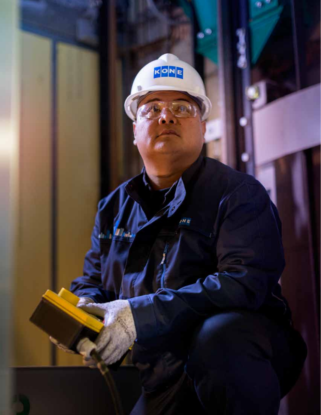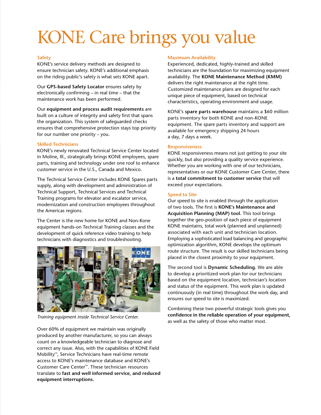## KONE Care brings you value

#### **Safety**

KONE's service delivery methods are designed to ensure technician safety. KONE's additional emphasis on the riding public's safety is what sets KONE apart.

Our **GPS-based Safety Locator** ensures safety by electronically confirming – in real time – that the maintenance work has been performed.

Our **equipment and process audit requirements** are built on a culture of integrity and safety first that spans the organization. This system of safeguarded checks ensures that comprehensive protection stays top priority for our number one priority – you.

#### **Skilled Technicians**

KONE's newly renovated Technical Service Center located in Moline, Ill., strategically brings KONE employees, spare parts, training and technology under one roof to enhance customer service in the U.S., Canada and Mexico.

The Technical Service Center includes KONE Spares parts supply, along with development and administration of Technical Support, Technical Services and Technical Training programs for elevator and escalator service, modernization and construction employees throughout the Americas regions.

The Center is the new home for KONE and Non-Kone equipment hands-on Technical Training classes and the development of quick reference video training to help technicians with diagnostics and troubleshooting.



Over 60% of equipment we maintain was originally produced by another manufacturer, so you can always count on a knowledgeable technician to diagnose and correct any issue. Also, with the capabilities of KONE Field Mobility™, Service Technicians have real-time remote access to KONE's maintenance database and KONE's Customer Care Center™. These technician resources translate to **fast and well informed service, and reduced equipment interruptions.**

#### **Maximum Availability**

Experienced, dedicated, highly-trained and skilled technicians are the foundation for maximizing equipment availability. The **KONE Maintenance Method (KMM)** delivers the right maintenance at the right time. Customized maintenance plans are designed for each unique piece of equipment, based on technical characteristics, operating environment and usage.

KONE's **spare parts warehouse** maintains a \$60 million parts inventory for both KONE and non-KONE equipment. The spare parts inventory and support are available for emergency shipping 24 hours a day, 7 days a week.

#### **Responsiveness**

KONE responsiveness means not just getting to your site quickly, but also providing a quality service experience. Whether you are working with one of our technicians, representatives or our KONE Customer Care Center, there is a **total commitment to customer service** that will exceed your expectations.

#### **Speed to Site**

Our speed to site is enabled through the application of two tools. The first is **KONE's Maintenance and Acquisition Planning (MAP) tool.** This tool brings together the geo-position of each piece of equipment KONE maintains, total work (planned and unplanned) associated with each unit and technician location. Employing a sophisticated load balancing and geographic optimization algorithm, KONE develops the optimum route structure. The result is our skilled technicians being placed in the closest proximity to your equipment.

The second tool is **Dynamic Scheduling.** We are able to develop a prioritized work plan for our technicians based on the equipment location, technician's location and status of the equipment. This work plan is updated continuously (in real time) throughout the work day, and ensures our speed to site is maximized.

Combining these two powerful strategic tools gives you **confidence in the reliable operation of your equipment,** Training equipment inside Technical Service Center.<br>as well as the safety of those who matter most.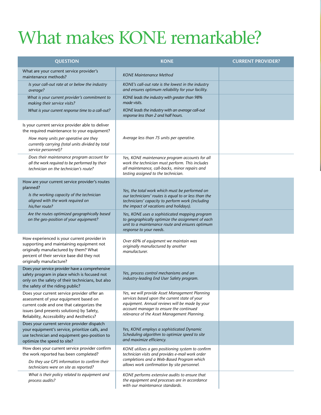## What makes KONE remarkable?

| <b>QUESTION</b>                                                                                                                                                                                                               | <b>KONE</b>                                                                                                                                                                                                                                 | <b>CURRENT PROVIDER?</b> |
|-------------------------------------------------------------------------------------------------------------------------------------------------------------------------------------------------------------------------------|---------------------------------------------------------------------------------------------------------------------------------------------------------------------------------------------------------------------------------------------|--------------------------|
| What are your current service provider's<br>maintenance methods?                                                                                                                                                              | <b>KONE Maintenance Method</b>                                                                                                                                                                                                              |                          |
| Is your call-out rate at or below the industry<br>average?                                                                                                                                                                    | KONE's call-out rate is the lowest in the industry<br>and ensures optimum reliability for your facility.                                                                                                                                    |                          |
| What is your current provider's commitment to<br>making their service visits?                                                                                                                                                 | KONE leads the industry with greater than 98%<br>made visits.                                                                                                                                                                               |                          |
| What is your current response time to a call-out?                                                                                                                                                                             | KONE leads the industry with an average call-out<br>response less than 2 and half hours.                                                                                                                                                    |                          |
| Is your current service provider able to deliver<br>the required maintenance to your equipment?                                                                                                                               |                                                                                                                                                                                                                                             |                          |
| How many units per operative are they<br>currently carrying (total units divided by total<br>service personnel)?                                                                                                              | Average less than 75 units per operative.                                                                                                                                                                                                   |                          |
| Does their maintenance program account for<br>all the work required to be performed by their<br>technician on the technician's route?                                                                                         | Yes, KONE maintenance program accounts for all<br>work the technician must perform. This includes<br>all maintenance, call-backs, minor repairs and<br>testing assigned to the technician.                                                  |                          |
| How are your current service provider's routes<br>planned?                                                                                                                                                                    |                                                                                                                                                                                                                                             |                          |
| Is the working capacity of the technician<br>aligned with the work required on<br>his/her route?                                                                                                                              | Yes, the total work which must be performed on<br>our technicians' routes is equal to or less than the<br>technicians' capacity to perform work (including<br>the impact of vacations and holidays).                                        |                          |
| Are the routes optimized geographically based<br>on the geo-position of your equipment?                                                                                                                                       | Yes, KONE uses a sophisticated mapping program<br>to geographically optimize the assignment of each<br>unit to a maintenance route and ensures optimum<br>response to your needs.                                                           |                          |
| How experienced is your current provider in<br>supporting and maintaining equipment not<br>originally manufactured by them? What<br>percent of their service base did they not<br>originally manufacture?                     | Over 60% of equipment we maintain was<br>originally manufactured by another<br>manufacturer.                                                                                                                                                |                          |
| Does your service provider have a comprehensive<br>safety program in place which is focused not<br>only on the safety of their technicians, but also<br>the safety of the riding public?                                      | Yes, process control mechanisms and an<br>industry-leading End User Safety program.                                                                                                                                                         |                          |
| Does your current service provider offer an<br>assessment of your equipment based on<br>current code and one that categorizes the<br>issues (and presents solutions) by Safety,<br>Reliability, Accessibility and Aesthetics? | Yes, we will provide Asset Management Planning<br>services based upon the current state of your<br>equipment. Annual reviews will be made by your<br>account manager to ensure the continued<br>relevance of the Asset Management Planning. |                          |
| Does your current service provider dispatch<br>your equipment's service, prioritize calls, and<br>use technician and equipment geo-position to<br>optimize the speed to site?                                                 | Yes, KONE employs a sophisticated Dynamic<br>Scheduling algorithm to optimize speed to site<br>and maximize efficiency.                                                                                                                     |                          |
| How does your current service provider confirm<br>the work reported has been completed?                                                                                                                                       | KONE utilizes a geo positioning system to confirm<br>technician visits and provides e-mail work order<br>completions and a Web-Based Program which<br>allows work confirmation by site personnel.                                           |                          |
| Do they use GPS information to confirm their<br>technicians were on site as reported?                                                                                                                                         |                                                                                                                                                                                                                                             |                          |
| What is their policy related to equipment and<br>process audits?                                                                                                                                                              | KONE performs extensive audits to ensure that<br>the equipment and processes are in accordance<br>with our maintenance standards.                                                                                                           |                          |